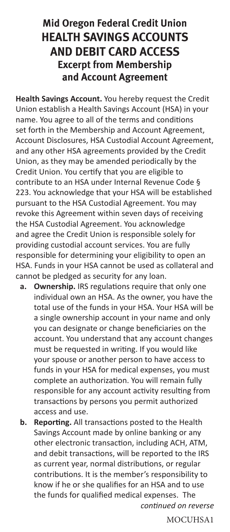## **Mid Oregon Federal Credit Union HEALTH SAVINGS ACCOUNTS AND DEBIT CARD ACCESS Excerpt from Membership and Account Agreement**

**Health Savings Account.** You hereby request the Credit Union establish a Health Savings Account (HSA) in your name. You agree to all of the terms and conditions set forth in the Membership and Account Agreement, Account Disclosures, HSA Custodial Account Agreement, and any other HSA agreements provided by the Credit Union, as they may be amended periodically by the Credit Union. You certify that you are eligible to contribute to an HSA under Internal Revenue Code § 223. You acknowledge that your HSA will be established pursuant to the HSA Custodial Agreement. You may revoke this Agreement within seven days of receiving the HSA Custodial Agreement. You acknowledge and agree the Credit Union is responsible solely for providing custodial account services. You are fully responsible for determining your eligibility to open an HSA. Funds in your HSA cannot be used as collateral and cannot be pledged as security for any loan.

- **a. Ownership.** IRS regulations require that only one individual own an HSA. As the owner, you have the total use of the funds in your HSA. Your HSA will be a single ownership account in your name and only you can designate or change beneficiaries on the account. You understand that any account changes must be requested in writing. If you would like your spouse or another person to have access to funds in your HSA for medical expenses, you must complete an authorization. You will remain fully responsible for any account activity resulting from transactions by persons you permit authorized access and use.
- **b. Reporting.** All transactions posted to the Health Savings Account made by online banking or any other electronic transaction, including ACH, ATM, and debit transactions, will be reported to the IRS as current year, normal distributions, or regular contributions. It is the member's responsibility to know if he or she qualifies for an HSA and to use the funds for qualified medical expenses. The *continued on reverse*